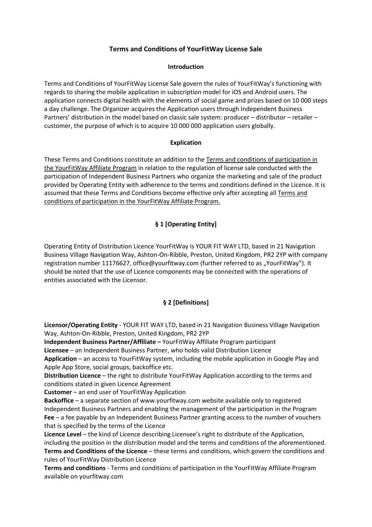## **Terms and Conditions of YourFitWay License Sale**

#### **Introduction**

Terms and Conditions of YourFitWay License Sale govern the rules of YourFitWay's functioning with regards to sharing the mobile application in subscription model for iOS and Android users. The application connects digital health with the elements of social game and prizes based on 10 000 steps a day challenge. The Organizer acquires the Application users through Independent Business Partners' distribution in the model based on classic sale system: producer – distributor – retailer – customer, the purpose of which is to acquire 10 000 000 application users globally.

#### **Explication**

These Terms and Conditions constitute an addition to the Terms and conditions of participation in the YourFitWay Affiliate Program in relation to the regulation of license sale conducted with the participation of Independent Business Partners who organize the marketing and sale of the product provided by Operating Entity with adherence to the terms and conditions defined in the Licence. It is assumed that these Terms and Conditions become effective only after accepting all Terms and conditions of participation in the YourFitWay Affiliate Program.

# **§ 1 [Operating Entity]**

Operating Entity of Distribution Licence YourFitWay is YOUR FIT WAY LTD, based in 21 Navigation Business Village Navigation Way, Ashton-On-Ribble, Preston, United Kingdom, PR2 2YP with company registration number 11176627, office@yourfitway.com (further referred to as "YourFitWay"). It should be noted that the use of Licence components may be connected with the operations of entities associated with the Licensor.

# **§ 2 [Definitions]**

**Licensor/Operating Entity** - YOUR FIT WAY LTD, based in 21 Navigation Business Village Navigation Way, Ashton-On-Ribble, Preston, United Kingdom, PR2 2YP

**Independent Business Partner/Affiliate –** YourFitWay Affiliate Program participant

**Licensee** – an Independent Business Partner, who holds valid Distribution Licence

**Application** – an access to YourFitWay system, including the mobile application in Google Play and Apple App Store, social groups, backoffice etc.

**Distribution Licence** – the right to distribute YourFitWay Application according to the terms and conditions stated in given Licence Agreement

**Customer** – an end user of YourFitWay Application

**Backoffice** – a separate section of www.yourfitway.com website available only to registered Independent Business Partners and enabling the management of the participation in the Program **Fee** – a fee payable by an Independent Business Partner granting access to the number of vouchers that is specified by the terms of the Licence

**Licence Level** – the kind of Licence describing Licensee's right to distribute of the Application, including the position in the distribution model and the terms and conditions of the aforementioned. **Terms and Conditions of the Licence** – these terms and conditions, which govern the conditions and rules of YourFitWay Distribution Licence

**Terms and conditions** - Terms and conditions of participation in the YourFitWay Affiliate Program available on yourfitway.com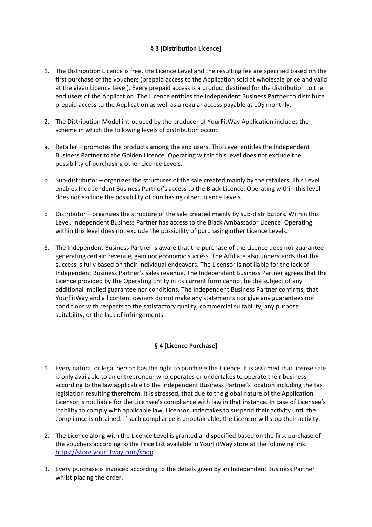## **§ 3 [Distribution Licence]**

- 1. The Distribution Licence is free, the Licence Level and the resulting fee are specified based on the first purchase of the vouchers (prepaid access to the Application sold at wholesale price and valid at the given Licence Level). Every prepaid access is a product destined for the distribution to the end users of the Application. The Licence entitles the Independent Business Partner to distribute prepaid access to the Application as well as a regular access payable at 10\$ monthly.
- 2. The Distribution Model introduced by the producer of YourFitWay Application includes the scheme in which the following levels of distribution occur:
- a. Retailer promotes the products among the end users. This Level entitles the Independent Business Partner to the Golden Licence. Operating within this level does not exclude the possibility of purchasing other Licence Levels.
- b. Sub-distributor organizes the structures of the sale created mainly by the retailers. This Level enables Independent Business Partner's access to the Black Licence. Operating within this level does not exclude the possibility of purchasing other Licence Levels.
- c. Distributor organizes the structure of the sale created mainly by sub-distributors. Within this Level, Independent Business Partner has access to the Black Ambassador Licence. Operating within this level does not exclude the possibility of purchasing other Licence Levels.
- 3. The Independent Business Partner is aware that the purchase of the Licence does not guarantee generating certain revenue, gain nor economic success. The Affiliate also understands that the success is fully based on their individual endeavors. The Licensor is not liable for the lack of Independent Business Partner's sales revenue. The Independent Business Partner agrees that the Licence provided by the Operating Entity in its current form cannot be the subject of any additional implied guarantee nor conditions. The Independent Business Partner confirms, that YourFitWay and all content owners do not make any statements nor give any guarantees nor conditions with respects to the satisfactory quality, commercial suitability, any purpose suitability, or the lack of infringements.

### **§ 4 [Licence Purchase]**

- 1. Every natural or legal person has the right to purchase the Licence. It is assumed that license sale is only available to an entrepreneur who operates or undertakes to operate their business according to the law applicable to the Independent Business Partner's location including the tax legislation resulting therefrom. It is stressed, that due to the global nature of the Application Licensor is not liable for the Licensee's compliance with law in that instance. In case of Licensee's inability to comply with applicable law, Licensor undertakes to suspend their activity until the compliance is obtained. If such compliance is unobtainable, the Licensor will stop their activity.
- 2. The Licence along with the Licence Level is granted and specified based on the first purchase of the vouchers according to the Price List available in YourFitWay store at the following link: <https://store.yourfitway.com/shop>
- 3. Every purchase is invoiced according to the details given by an Independent Business Partner whilst placing the order.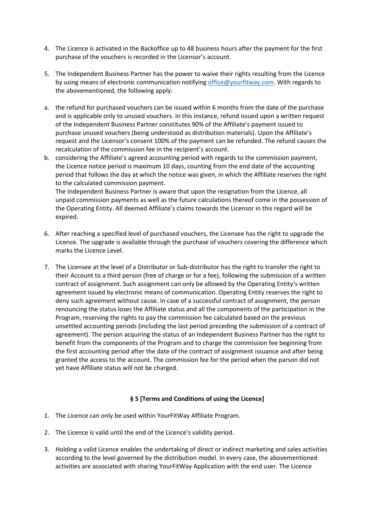- 4. The Licence is activated in the Backoffice up to 48 business hours after the payment for the first purchase of the vouchers is recorded in the Licensor's account.
- 5. The Independent Business Partner has the power to waive their rights resulting from the Licence by using means of electronic communication notifying [office@yourfitway.com.](mailto:office@yourfitway.com) With regards to the abovementioned, the following apply:
- a. the refund for purchased vouchers can be issued within 6 months from the date of the purchase and is applicable only to unused vouchers. In this instance, refund issued upon a written request of the Independent Business Partner constitutes 90% of the Affiliate's payment issued to purchase unused vouchers (being understood as distribution materials). Upon the Affiliate's request and the Licensor's consent 100% of the payment can be refunded. The refund causes the recalculation of the commission fee in the recipient's account.
- b. considering the Affiliate's agreed accounting period with regards to the commission payment, the Licence notice period is maximum 10 days, counting from the end date of the accounting period that follows the day at which the notice was given, in which the Affiliate reserves the right to the calculated commission payment.

The Independent Business Partner is aware that upon the resignation from the Licence, all unpaid commission payments as well as the future calculations thereof come in the possession of the Operating Entity. All deemed Affiliate's claims towards the Licensor in this regard will be expired.

- 6. After reaching a specified level of purchased vouchers, the Licensee has the right to upgrade the Licence. The upgrade is available through the purchase of vouchers covering the difference which marks the Licence Level.
- 7. The Licensee at the level of a Distributor or Sub-distributor has the right to transfer the right to their Account to a third person (free of charge or for a fee), following the submission of a written contract of assignment. Such assignment can only be allowed by the Operating Entity's written agreement issued by electronic means of communication. Operating Entity reserves the right to deny such agreement without cause. In case of a successful contract of assignment, the person renouncing the status loses the Affiliate status and all the components of the participation in the Program, reserving the rights to pay the commission fee calculated based on the previous unsettled accounting periods (including the last period preceding the submission of a contract of agreement). The person acquiring the status of an Independent Business Partner has the right to benefit from the components of the Program and to charge the commission fee beginning from the first accounting period after the date of the contract of assignment issuance and after being granted the access to the account. The commission fee for the period when the parson did not yet have Affiliate status will not be charged.

### **§ 5 [Terms and Conditions of using the Licence]**

- 1. The Licence can only be used within YourFitWay Affiliate Program.
- 2. The Licence is valid until the end of the Licence's validity period.
- 3. Holding a valid Licence enables the undertaking of direct or indirect marketing and sales activities according to the level governed by the distribution model. In every case, the abovementioned activities are associated with sharing YourFitWay Application with the end user. The Licence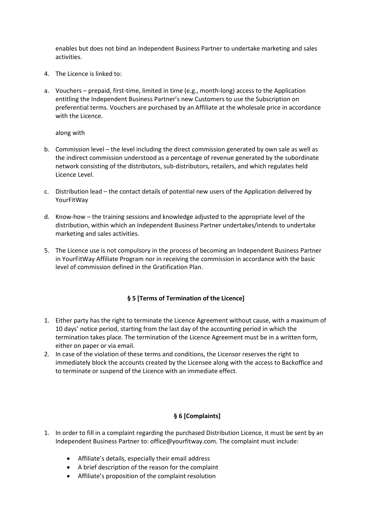enables but does not bind an Independent Business Partner to undertake marketing and sales activities.

- 4. The Licence is linked to:
- a. Vouchers prepaid, first-time, limited in time (e.g., month-long) access to the Application entitling the Independent Business Partner's new Customers to use the Subscription on preferential terms. Vouchers are purchased by an Affiliate at the wholesale price in accordance with the Licence.

along with

- b. Commission level the level including the direct commission generated by own sale as well as the indirect commission understood as a percentage of revenue generated by the subordinate network consisting of the distributors, sub-distributors, retailers, and which regulates held Licence Level.
- c. Distribution lead the contact details of potential new users of the Application delivered by YourFitWay
- d. Know-how the training sessions and knowledge adjusted to the appropriate level of the distribution, within which an Independent Business Partner undertakes/intends to undertake marketing and sales activities.
- 5. The Licence use is not compulsory in the process of becoming an Independent Business Partner in YourFitWay Affiliate Program nor in receiving the commission in accordance with the basic level of commission defined in the Gratification Plan.

### **§ 5 [Terms of Termination of the Licence]**

- 1. Either party has the right to terminate the Licence Agreement without cause, with a maximum of 10 days' notice period, starting from the last day of the accounting period in which the termination takes place. The termination of the Licence Agreement must be in a written form, either on paper or via email.
- 2. In case of the violation of these terms and conditions, the Licensor reserves the right to immediately block the accounts created by the Licensee along with the access to Backoffice and to terminate or suspend of the Licence with an immediate effect.

### **§ 6 [Complaints]**

- 1. In order to fill in a complaint regarding the purchased Distribution Licence, it must be sent by an Independent Business Partner to: office@yourfitway.com. The complaint must include:
	- Affiliate's details, especially their email address
	- A brief description of the reason for the complaint
	- Affiliate's proposition of the complaint resolution